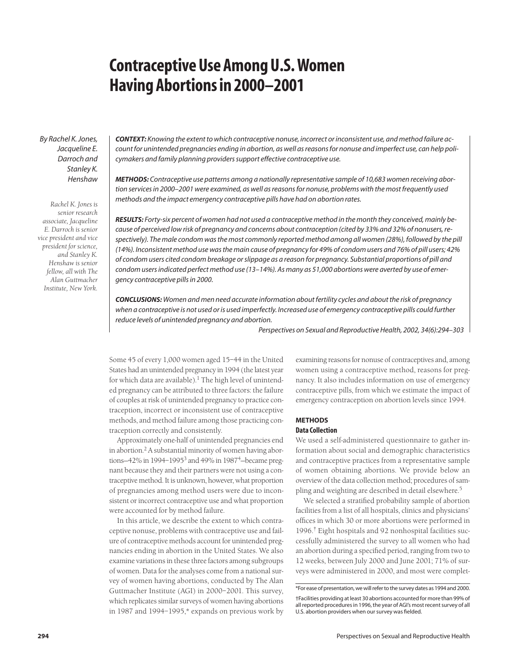# **Contraceptive Use Among U.S. Women Having Abortions in 2000–2001**

*By Rachel K. Jones, Jacqueline E. Darroch and Stanley K. Henshaw*

*Rachel K. Jones is senior research associate, Jacqueline E. Darroch is senior vice president and vice president for science, and Stanley K. Henshaw is senior fellow, all with The Alan Guttmacher Institute, New York.*

*CONTEXT: Knowing the extent to which contraceptive nonuse, incorrect or inconsistent use, and method failure account for unintended pregnancies ending in abortion, as well as reasons for nonuse and imperfect use, can help policymakers and family planning providers support effective contraceptive use.*

*METHODS: Contraceptive use patterns among a nationally representative sample of 10,683 women receiving abortion services in 2000–2001 were examined, as well as reasons for nonuse, problems with the most frequently used methods and the impact emergency contraceptive pills have had on abortion rates.*

*RESULTS: Forty-six percent of women had not used a contraceptive method in the month they conceived, mainly because of perceived low risk of pregnancy and concerns about contraception (cited by 33% and 32% of nonusers, respectively). The male condom was the most commonly reported method among all women (28%), followed by the pill (14%). Inconsistent method use was the main cause of pregnancy for 49% of condom users and 76% of pill users; 42% of condom users cited condom breakage or slippage as a reason for pregnancy. Substantial proportions of pill and condom users indicated perfect method use (13–14%). As many as 51,000 abortions were averted by use of emergency contraceptive pills in 2000.*

*CONCLUSIONS: Women and men need accurate information about fertility cycles and about the risk of pregnancy* when a contraceptive is not used or is used imperfectly. Increased use of emergency contraceptive pills could further *reduce levels of unintended pregnancy and abortion.*

*Perspectives on Sexual and Reproductive Health, 2002, 34(6):294–303*

Some 45 of every 1,000 women aged 15–44 in the United States had an unintended pregnancy in 1994 (the latest year for which data are available).<sup>1</sup> The high level of unintended pregnancy can be attributed to three factors: the failure of couples at risk of unintended pregnancy to practice contraception, incorrect or inconsistent use of contraceptive methods, and method failure among those practicing contraception correctly and consistently.

Approximately one-half of unintended pregnancies end in abortion.<sup>2</sup> A substantial minority of women having abortions-42% in 1994-1995<sup>3</sup> and 49% in 1987<sup>4</sup>-became pregnant because they and their partners were not using a contraceptive method. It is unknown, however, what proportion of pregnancies among method users were due to inconsistent or incorrect contraceptive use and what proportion were accounted for by method failure.

In this article, we describe the extent to which contraceptive nonuse, problems with contraceptive use and failure of contraceptive methods account for unintended pregnancies ending in abortion in the United States. We also examine variations in these three factors among subgroups of women. Data for the analyses come from a national survey of women having abortions, conducted by The Alan Guttmacher Institute (AGI) in 2000–2001. This survey, which replicates similar surveys of women having abortions in 1987 and 1994–1995,\* expands on previous work by examining reasons for nonuse of contraceptives and, among women using a contraceptive method, reasons for pregnancy. It also includes information on use of emergency contraceptive pills, from which we estimate the impact of emergency contraception on abortion levels since 1994.

## **METHODS Data Collection**

We used a self-administered questionnaire to gather information about social and demographic characteristics and contraceptive practices from a representative sample of women obtaining abortions. We provide below an overview of the data collection method; procedures of sampling and weighting are described in detail elsewhere.5

We selected a stratified probability sample of abortion facilities from a list of all hospitals, clinics and physicians' offices in which 30 or more abortions were performed in 1996.† Eight hospitals and 92 nonhospital facilities successfully administered the survey to all women who had an abortion during a specified period, ranging from two to 12 weeks, between July 2000 and June 2001; 71% of surveys were administered in 2000, and most were complet-

<sup>\*</sup>For ease of presentation, we will refer to the survey dates as 1994 and 2000.

<sup>†</sup>Facilities providing at least 30 abortions accounted for more than 99% of all reported procedures in 1996, the year of AGI's most recent survey of all U.S. abortion providers when our survey was fielded.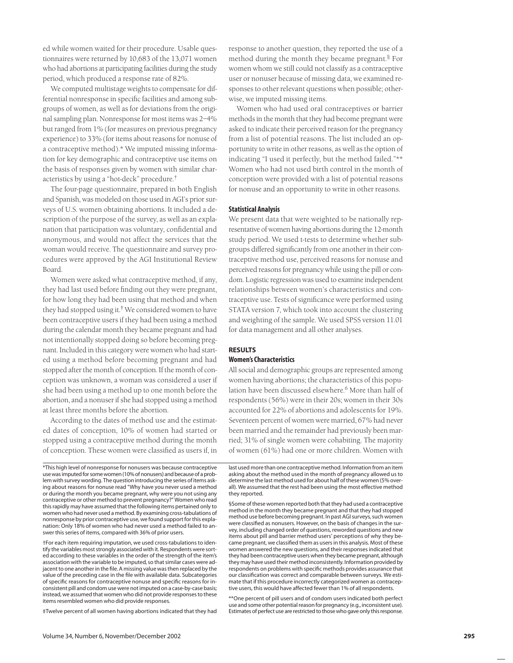ed while women waited for their procedure. Usable questionnaires were returned by 10,683 of the 13,071 women who had abortions at participating facilities during the study period, which produced a response rate of 82%.

We computed multistage weights to compensate for differential nonresponse in specific facilities and among subgroups of women, as well as for deviations from the original sampling plan. Nonresponse for most items was 2–4% but ranged from 1% (for measures on previous pregnancy experience) to 33% (for items about reasons for nonuse of a contraceptive method).\* We imputed missing information for key demographic and contraceptive use items on the basis of responses given by women with similar characteristics by using a "hot-deck" procedure.†

The four-page questionnaire, prepared in both English and Spanish, was modeled on those used in AGI's prior surveys of U.S. women obtaining abortions. It included a description of the purpose of the survey, as well as an explanation that participation was voluntary, confidential and anonymous, and would not affect the services that the woman would receive. The questionnaire and survey procedures were approved by the AGI Institutional Review Board.

Women were asked what contraceptive method, if any, they had last used before finding out they were pregnant, for how long they had been using that method and when they had stopped using it.‡ We considered women to have been contraceptive users if they had been using a method during the calendar month they became pregnant and had not intentionally stopped doing so before becoming pregnant. Included in this category were women who had started using a method before becoming pregnant and had stopped after the month of conception. If the month of conception was unknown, a woman was considered a user if she had been using a method up to one month before the abortion, and a nonuser if she had stopped using a method at least three months before the abortion.

According to the dates of method use and the estimated dates of conception, 10% of women had started or stopped using a contraceptive method during the month of conception. These women were classified as users if, in

\*This high level of nonresponse for nonusers was because contraceptive use was imputed for some women (10% of nonusers) and because of a problem with survey wording. The question introducing the series of items asking about reasons for nonuse read "Why have you never used a method or during the month you became pregnant, why were you not using any contraceptive or other method to prevent pregnancy?" Women who read this rapidly may have assumed that the following items pertained only to women who had never used a method. By examining cross-tabulations of nonresponse by prior contraceptive use, we found support for this explanation: Only 18% of women who had never used a method failed to answer this series of items, compared with 36% of prior users.

†For each item requiring imputation, we used cross-tabulations to identify the variables most strongly associated with it. Respondents were sorted according to these variables in the order of the strength of the item's association with the variable to be imputed, so that similar cases were adjacent to one another in the file. A missing value was then replaced by the value of the preceding case in the file with available data. Subcategories of specific reasons for contraceptive nonuse and specific reasons for inconsistent pill and condom use were not imputed on a case-by-case basis; instead, we assumed that women who did not provide responses to these items resembled women who did provide responses.

‡Twelve percent of all women having abortions indicated that they had

response to another question, they reported the use of a method during the month they became pregnant.§ For women whom we still could not classify as a contraceptive user or nonuser because of missing data, we examined responses to other relevant questions when possible; otherwise, we imputed missing items.

Women who had used oral contraceptives or barrier methods in the month that they had become pregnant were asked to indicate their perceived reason for the pregnancy from a list of potential reasons. The list included an opportunity to write in other reasons, as well as the option of indicating "I used it perfectly, but the method failed."\*\* Women who had not used birth control in the month of conception were provided with a list of potential reasons for nonuse and an opportunity to write in other reasons.

## **Statistical Analysis**

We present data that were weighted to be nationally representative of women having abortions during the 12-month study period. We used t-tests to determine whether subgroups differed significantly from one another in their contraceptive method use, perceived reasons for nonuse and perceived reasons for pregnancy while using the pill or condom. Logistic regression was used to examine independent relationships between women's characteristics and contraceptive use. Tests of significance were performed using STATA version 7, which took into account the clustering and weighting of the sample. We used SPSS version 11.01 for data management and all other analyses.

## **RESULTS Women's Characteristics**

All social and demographic groups are represented among women having abortions; the characteristics of this population have been discussed elsewhere.<sup>6</sup> More than half of respondents (56%) were in their 20s; women in their 30s accounted for 22% of abortions and adolescents for 19%. Seventeen percent of women were married, 67% had never been married and the remainder had previously been married; 31% of single women were cohabiting. The majority of women (61%) had one or more children. Women with

last used more than one contraceptive method. Information from an item asking about the method used in the month of pregnancy allowed us to determine the last method used for about half of these women (5% overall). We assumed that the rest had been using the most effective method they reported.

§Some of these women reported both that they had used a contraceptive method in the month they became pregnant and that they had stopped method use before becoming pregnant. In past AGI surveys, such women were classified as nonusers. However, on the basis of changes in the survey, including changed order of questions, reworded questions and new items about pill and barrier method users' perceptions of why they became pregnant, we classified them as users in this analysis. Most of these women answered the new questions, and their responses indicated that they had been contraceptive users when they became pregnant, although they may have used their method inconsistently. Information provided by respondents on problems with specific methods provides assurance that our classification was correct and comparable between surveys. We estimate that if this procedure incorrectly categorized women as contraceptive users, this would have affected fewer than 1% of all respondents.

\*\*One percent of pill users and of condom users indicated both perfect use and some other potential reason for pregnancy (e.g., inconsistent use). Estimates of perfect use are restricted to those who gave only this response.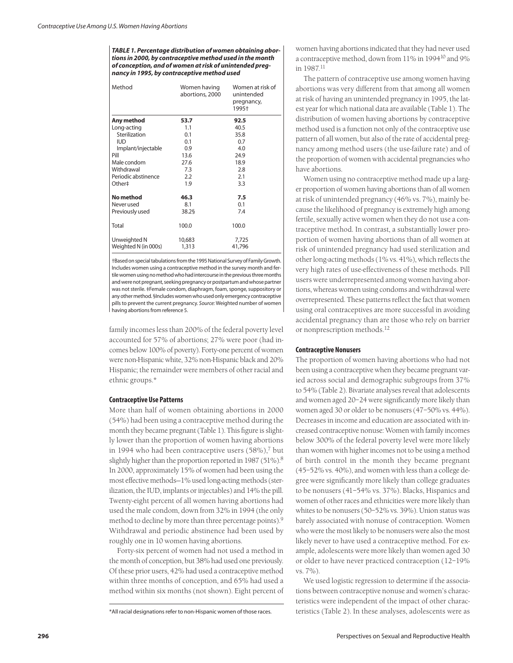*TABLE 1. Percentage distribution of women obtaining abortions in 2000, by contraceptive method used in the month of conception, and of women at risk of unintended pregnancy in 1995, by contraceptive method used*

| Method                               | Women having<br>abortions, 2000 | Women at risk of<br>unintended<br>pregnancy,<br>1995+ |  |  |
|--------------------------------------|---------------------------------|-------------------------------------------------------|--|--|
| Any method                           | 53.7                            | 92.5                                                  |  |  |
| Long-acting                          | 1.1                             | 40.5                                                  |  |  |
| Sterilization                        | 0.1                             | 35.8                                                  |  |  |
| <b>IUD</b>                           | 0.1                             | 0.7                                                   |  |  |
| Implant/injectable                   | 0.9                             | 4.0                                                   |  |  |
| Pill                                 | 13.6                            | 24.9                                                  |  |  |
| Male condom                          | 27.6                            | 18.9                                                  |  |  |
| Withdrawal                           | 7.3                             | 2.8                                                   |  |  |
| Periodic abstinence                  | 2.2                             | 2.1                                                   |  |  |
| Other‡                               | 1.9                             | 3.3                                                   |  |  |
| No method                            | 46.3                            | 7.5                                                   |  |  |
| Never used                           | 8.1                             | 0.1                                                   |  |  |
| Previously used                      | 38.25                           | 7.4                                                   |  |  |
| Total                                | 100.0                           | 100.0                                                 |  |  |
| Unweighted N<br>Weighted N (in 000s) | 10,683<br>1,313                 | 7,725<br>41,796                                       |  |  |

†Based on special tabulations from the 1995 National Survey of Family Growth. Includes women using a contraceptive method in the survey month and fertile women using no method who had intercourse in the previous three months and were not pregnant, seeking pregnancy or postpartum and whose partner was not sterile. ‡Female condom, diaphragm, foam, sponge, suppository or any other method. §Includes women who used only emergency contraceptive pills to prevent the current pregnancy. *Source:* Weighted number of women having abortions from reference 5.

family incomes less than 200% of the federal poverty level accounted for 57% of abortions; 27% were poor (had incomes below 100% of poverty). Forty-one percent of women were non-Hispanic white, 32% non-Hispanic black and 20% Hispanic; the remainder were members of other racial and ethnic groups.\*

#### **Contraceptive Use Patterns**

More than half of women obtaining abortions in 2000 (54%) had been using a contraceptive method during the month they became pregnant (Table 1). This figure is slightly lower than the proportion of women having abortions in 1994 who had been contraceptive users  $(58\%)$ ,<sup>7</sup> but slightly higher than the proportion reported in 1987 (51%).<sup>8</sup> In 2000, approximately 15% of women had been using the most effective methods—1% used long-acting methods (sterilization, the IUD, implants or injectables) and 14% the pill. Twenty-eight percent of all women having abortions had used the male condom, down from 32% in 1994 (the only method to decline by more than three percentage points).<sup>9</sup> Withdrawal and periodic abstinence had been used by roughly one in 10 women having abortions.

Forty-six percent of women had not used a method in the month of conception, but 38% had used one previously. Of these prior users, 42% had used a contraceptive method within three months of conception, and 65% had used a method within six months (not shown). Eight percent of women having abortions indicated that they had never used a contraceptive method, down from 11% in 199410 and 9% in 1987.<sup>11</sup>

The pattern of contraceptive use among women having abortions was very different from that among all women at risk of having an unintended pregnancy in 1995, the latest year for which national data are available (Table 1). The distribution of women having abortions by contraceptive method used is a function not only of the contraceptive use pattern of all women, but also of the rate of accidental pregnancy among method users (the use-failure rate) and of the proportion of women with accidental pregnancies who have abortions.

Women using no contraceptive method made up a larger proportion of women having abortions than of all women at risk of unintended pregnancy (46% vs. 7%), mainly because the likelihood of pregnancy is extremely high among fertile, sexually active women when they do not use a contraceptive method. In contrast, a substantially lower proportion of women having abortions than of all women at risk of unintended pregnancy had used sterilization and other long-acting methods (1% vs. 41%), which reflects the very high rates of use-effectiveness of these methods. Pill users were underrepresented among women having abortions, whereas women using condoms and withdrawal were overrepresented. These patterns reflect the fact that women using oral contraceptives are more successful in avoiding accidental pregnancy than are those who rely on barrier or nonprescription methods.<sup>12</sup>

## **Contraceptive Nonusers**

The proportion of women having abortions who had not been using a contraceptive when they became pregnant varied across social and demographic subgroups from 37% to 54% (Table 2). Bivariate analyses reveal that adolescents and women aged 20–24 were significantly more likely than women aged 30 or older to be nonusers (47–50% vs. 44%). Decreases in income and education are associated with increased contraceptive nonuse: Women with family incomes below 300% of the federal poverty level were more likely than women with higher incomes not to be using a method of birth control in the month they became pregnant (45–52% vs. 40%), and women with less than a college degree were significantly more likely than college graduates to be nonusers (41–54% vs. 37%). Blacks, Hispanics and women of other races and ethnicities were more likely than whites to be nonusers (50–52% vs. 39%). Union status was barely associated with nonuse of contraception. Women who were the most likely to be nonusers were also the most likely never to have used a contraceptive method. For example, adolescents were more likely than women aged 30 or older to have never practiced contraception (12–19% vs. 7%).

We used logistic regression to determine if the associations between contraceptive nonuse and women's characteristics were independent of the impact of other characteristics (Table 2). In these analyses, adolescents were as

<sup>\*</sup>All racial designations refer to non-Hispanic women of those races.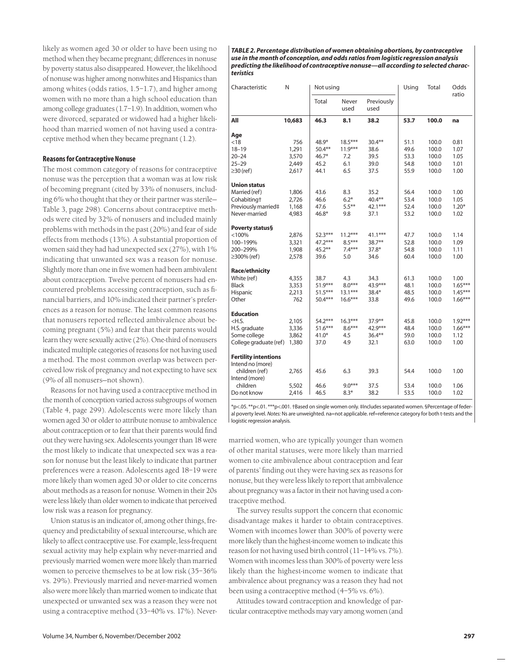likely as women aged 30 or older to have been using no method when they became pregnant; differences in nonuse by poverty status also disappeared. However, the likelihood of nonuse was higher among nonwhites and Hispanics than among whites (odds ratios, 1.5–1.7), and higher among women with no more than a high school education than among college graduates (1.7–1.9). In addition, women who were divorced, separated or widowed had a higher likelihood than married women of not having used a contraceptive method when they became pregnant (1.2).

## **Reasons for Contraceptive Nonuse**

The most common category of reasons for contraceptive nonuse was the perception that a woman was at low risk of becoming pregnant (cited by 33% of nonusers, including 6% who thought that they or their partner was sterile— Table 3, page 298). Concerns about contraceptive methods were cited by 32% of nonusers and included mainly problems with methods in the past (20%) and fear of side effects from methods (13%). A substantial proportion of women said they had had unexpected sex (27%), with 1% indicating that unwanted sex was a reason for nonuse. Slightly more than one in five women had been ambivalent about contraception. Twelve percent of nonusers had encountered problems accessing contraception, such as financial barriers, and 10% indicated their partner's preferences as a reason for nonuse. The least common reasons that nonusers reported reflected ambivalence about becoming pregnant (5%) and fear that their parents would learn they were sexually active (2%). One-third of nonusers indicated multiple categories of reasons for not having used a method. The most common overlap was between perceived low risk of pregnancy and not expecting to have sex (9% of all nonusers—not shown).

Reasons for not having used a contraceptive method in the month of conception varied across subgroups of women (Table 4, page 299). Adolescents were more likely than women aged 30 or older to attribute nonuse to ambivalence about contraception or to fear that their parents would find out they were having sex. Adolescents younger than 18 were the most likely to indicate that unexpected sex was a reason for nonuse but the least likely to indicate that partner preferences were a reason. Adolescents aged 18–19 were more likely than women aged 30 or older to cite concerns about methods as a reason for nonuse. Women in their 20s were less likely than older women to indicate that perceived low risk was a reason for pregnancy.

Union status is an indicator of, among other things, frequency and predictability of sexual intercourse, which are likely to affect contraceptive use. For example, less-frequent sexual activity may help explain why never-married and previously married women were more likely than married women to perceive themselves to be at low risk (35–36% vs. 29%). Previously married and never-married women also were more likely than married women to indicate that unexpected or unwanted sex was a reason they were not using a contraceptive method (33–40% vs. 17%). Never-

*TABLE 2. Percentage distribution of women obtaining abortions, by contraceptive use in the month of conception, and odds ratios from logistic regression analysis predicting the likelihood of contraceptive nonuse—all according to selected characteristics*

| Characteristic              | N      | Not using |               |                    | Using | Total | Odds<br>ratio |
|-----------------------------|--------|-----------|---------------|--------------------|-------|-------|---------------|
|                             |        | Total     | Never<br>used | Previously<br>used |       |       |               |
| All                         | 10,683 | 46.3      | 8.1           | 38.2               | 53.7  | 100.0 | na            |
| Age                         |        |           |               |                    |       |       |               |
| < 18                        | 756    | 48.9*     | $18.5***$     | $30.4***$          | 51.1  | 100.0 | 0.81          |
| $18 - 19$                   | 1,291  | $50.4***$ | $11.9***$     | 38.6               | 49.6  | 100.0 | 1.07          |
| $20 - 24$                   | 3,570  | $46.7*$   | 7.2           | 39.5               | 53.3  | 100.0 | 1.05          |
| $25 - 29$                   | 2,449  | 45.2      | 6.1           | 39.0               | 54.8  | 100.0 | 1.01          |
| $\geq$ 30 (ref)             | 2,617  | 44.1      | 6.5           | 37.5               | 55.9  | 100.0 | 1.00          |
| <b>Union status</b>         |        |           |               |                    |       |       |               |
| Married (ref)               | 1,806  | 43.6      | 8.3           | 35.2               | 56.4  | 100.0 | 1.00          |
| Cohabiting <sup>+</sup>     | 2,726  | 46.6      | $6.2*$        | 40.4**             | 53.4  | 100.0 | 1.05          |
| Previously married‡         | 1,168  | 47.6      | $5.5***$      | $42.1***$          | 52.4  | 100.0 | $1.20*$       |
| Never-married               | 4,983  | $46.8*$   | 9.8           | 37.1               | 53.2  | 100.0 | 1.02          |
| Poverty status§             |        |           |               |                    |       |       |               |
| < 100%                      | 2,876  | $52.3***$ | $11.2***$     | $41.1***$          | 47.7  | 100.0 | 1.14          |
| 100-199%                    | 3,321  | $47.2***$ | $8.5***$      | $38.7**$           | 52.8  | 100.0 | 1.09          |
| 200-299%                    | 1,908  | $45.2***$ | $7.4***$      | $37.8*$            | 54.8  | 100.0 | 1.11          |
| ≥300% (ref)                 | 2,578  | 39.6      | 5.0           | 34.6               | 60.4  | 100.0 | 1.00          |
| <b>Race/ethnicity</b>       |        |           |               |                    |       |       |               |
| White (ref)                 | 4,355  | 38.7      | 4.3           | 34.3               | 61.3  | 100.0 | 1.00          |
| <b>Black</b>                | 3,353  | $51.9***$ | $8.0***$      | 43.9***            | 48.1  | 100.0 | $1.65***$     |
| Hispanic                    | 2,213  | $51.5***$ | $13.1***$     | $38.4*$            | 48.5  | 100.0 | $1.45***$     |
| Other                       | 762    | $50.4***$ | $16.6***$     | 33.8               | 49.6  | 100.0 | $1.66***$     |
| <b>Education</b>            |        |           |               |                    |       |       |               |
| $<$ H.S.                    | 2,105  | 54.2***   | $16.3***$     | $37.9***$          | 45.8  | 100.0 | $1.92***$     |
| H.S. graduate               | 3,336  | $51.6***$ | $8.6***$      | $42.9***$          | 48.4  | 100.0 | $1.66***$     |
| Some college                | 3,862  | $41.0*$   | 4.5           | $36.4***$          | 59.0  | 100.0 | 1.12          |
| College graduate (ref)      | 1,380  | 37.0      | 4.9           | 32.1               | 63.0  | 100.0 | 1.00          |
| <b>Fertility intentions</b> |        |           |               |                    |       |       |               |
| Intend no (more)            |        |           |               |                    |       |       |               |
| children (ref)              | 2,765  | 45.6      | 6.3           | 39.3               | 54.4  | 100.0 | 1.00          |
| Intend (more)               |        |           |               |                    |       |       |               |
| children                    | 5,502  | 46.6      | $9.0***$      | 37.5               | 53.4  | 100.0 | 1.06          |
| Do not know                 | 2,416  | 46.5      | $8.3*$        | 38.2               | 53.5  | 100.0 | 1.02          |

\*p<.05. \*\*p<.01. \*\*\*p<.001. †Based on single women only. ‡Includes separated women. §Percentage of federal poverty level. *Notes:* Ns are unweighted. na=not applicable. ref=reference category for both t-tests and the logistic regression analysis.

married women, who are typically younger than women of other marital statuses, were more likely than married women to cite ambivalence about contraception and fear of parents' finding out they were having sex as reasons for nonuse, but they were less likely to report that ambivalence about pregnancy was a factor in their not having used a contraceptive method.

The survey results support the concern that economic disadvantage makes it harder to obtain contraceptives. Women with incomes lower than 300% of poverty were more likely than the highest-income women to indicate this reason for not having used birth control (11–14% vs. 7%). Women with incomes less than 300% of poverty were less likely than the highest-income women to indicate that ambivalence about pregnancy was a reason they had not been using a contraceptive method (4–5% vs. 6%).

Attitudes toward contraception and knowledge of particular contraceptive methods may vary among women (and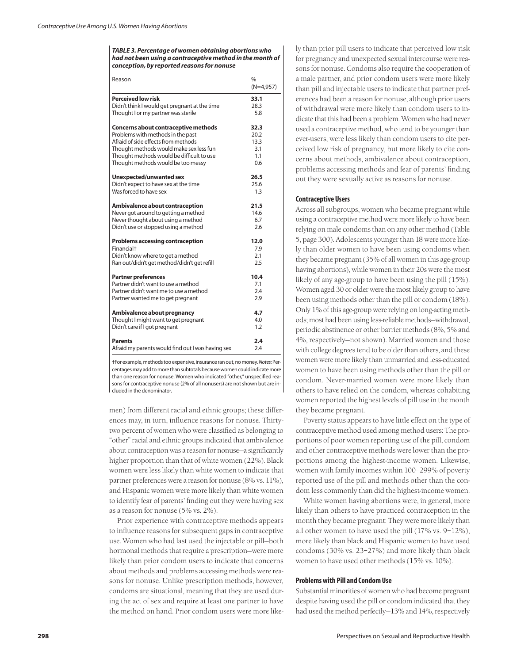*TABLE 3. Percentage of women obtaining abortions who had not been using a contraceptive method in the month of conception, by reported reasons for nonuse*

| Reason                                            | $\frac{0}{0}$<br>$(N=4,957)$ |
|---------------------------------------------------|------------------------------|
| <b>Perceived low risk</b>                         | 33.1                         |
| Didn't think I would get pregnant at the time     | 28.3                         |
| Thought I or my partner was sterile               | 5.8                          |
| Concerns about contraceptive methods              | 32.3                         |
| Problems with methods in the past                 | 20.2                         |
| Afraid of side effects from methods               | 13.3                         |
| Thought methods would make sex less fun           | 3.1                          |
| Thought methods would be difficult to use         | 1.1                          |
| Thought methods would be too messy                | 0.6                          |
| Unexpected/unwanted sex                           | 26.5                         |
| Didn't expect to have sex at the time             | 25.6                         |
| Was forced to have sex                            | 1.3                          |
| Ambivalence about contraception                   | 21.5                         |
| Never got around to getting a method              | 14.6                         |
| Never thought about using a method                | 6.7                          |
| Didn't use or stopped using a method              | 2.6                          |
| <b>Problems accessing contraception</b>           | 12.0                         |
| Financial <sup>+</sup>                            | 7.9                          |
| Didn't know where to get a method                 | 2.1                          |
| Ran out/didn't get method/didn't get refill       | 2.5                          |
| <b>Partner preferences</b>                        | 10.4                         |
| Partner didn't want to use a method               | 7.1                          |
| Partner didn't want me to use a method            | 2.4                          |
| Partner wanted me to get pregnant                 | 2.9                          |
| Ambivalence about pregnancy                       | 4.7                          |
| Thought I might want to get pregnant              | 4.0                          |
| Didn't care if I got pregnant                     | 1.2                          |
| <b>Parents</b>                                    | 2.4                          |
| Afraid my parents would find out I was having sex | 2.4                          |

†For example, methods too expensive, insurance ran out, no money. *Notes:* Percentages may add to more than subtotals because women could indicate more than one reason for nonuse. Women who indicated "other," unspecified reasons for contraceptive nonuse (2% of all nonusers) are not shown but are included in the denominator.

men) from different racial and ethnic groups; these differences may, in turn, influence reasons for nonuse. Thirtytwo percent of women who were classified as belonging to "other" racial and ethnic groups indicated that ambivalence about contraception was a reason for nonuse—a significantly higher proportion than that of white women (22%). Black women were less likely than white women to indicate that partner preferences were a reason for nonuse (8% vs. 11%), and Hispanic women were more likely than white women to identify fear of parents' finding out they were having sex as a reason for nonuse (5% vs. 2%).

Prior experience with contraceptive methods appears to influence reasons for subsequent gaps in contraceptive use. Women who had last used the injectable or pill—both hormonal methods that require a prescription—were more likely than prior condom users to indicate that concerns about methods and problems accessing methods were reasons for nonuse. Unlike prescription methods, however, condoms are situational, meaning that they are used during the act of sex and require at least one partner to have the method on hand. Prior condom users were more likely than prior pill users to indicate that perceived low risk for pregnancy and unexpected sexual intercourse were reasons for nonuse. Condoms also require the cooperation of a male partner, and prior condom users were more likely than pill and injectable users to indicate that partner preferences had been a reason for nonuse, although prior users of withdrawal were more likely than condom users to indicate that this had been a problem. Women who had never used a contraceptive method, who tend to be younger than ever-users, were less likely than condom users to cite perceived low risk of pregnancy, but more likely to cite concerns about methods, ambivalence about contraception, problems accessing methods and fear of parents' finding out they were sexually active as reasons for nonuse.

## **Contraceptive Users**

Across all subgroups, women who became pregnant while using a contraceptive method were more likely to have been relying on male condoms than on any other method (Table 5, page 300). Adolescents younger than 18 were more likely than older women to have been using condoms when they became pregnant (35% of all women in this age-group having abortions), while women in their 20s were the most likely of any age-group to have been using the pill (15%). Women aged 30 or older were the most likely group to have been using methods other than the pill or condom (18%). Only 1% of this age-group were relying on long-acting methods; most had been using less-reliable methods—withdrawal, periodic abstinence or other barrier methods (8%, 5% and 4%, respectively—not shown). Married women and those with college degrees tend to be older than others, and these women were more likely than unmarried and less-educated women to have been using methods other than the pill or condom. Never-married women were more likely than others to have relied on the condom, whereas cohabiting women reported the highest levels of pill use in the month they became pregnant.

Poverty status appears to have little effect on the type of contraceptive method used among method users: The proportions of poor women reporting use of the pill, condom and other contraceptive methods were lower than the proportions among the highest-income women. Likewise, women with family incomes within 100–299% of poverty reported use of the pill and methods other than the condom less commonly than did the highest-income women.

White women having abortions were, in general, more likely than others to have practiced contraception in the month they became pregnant: They were more likely than all other women to have used the pill (17% vs. 9–12%), more likely than black and Hispanic women to have used condoms (30% vs. 23–27%) and more likely than black women to have used other methods (15% vs. 10%).

## **Problems with Pill and Condom Use**

Substantial minorities of women who had become pregnant despite having used the pill or condom indicated that they had used the method perfectly—13% and 14%, respectively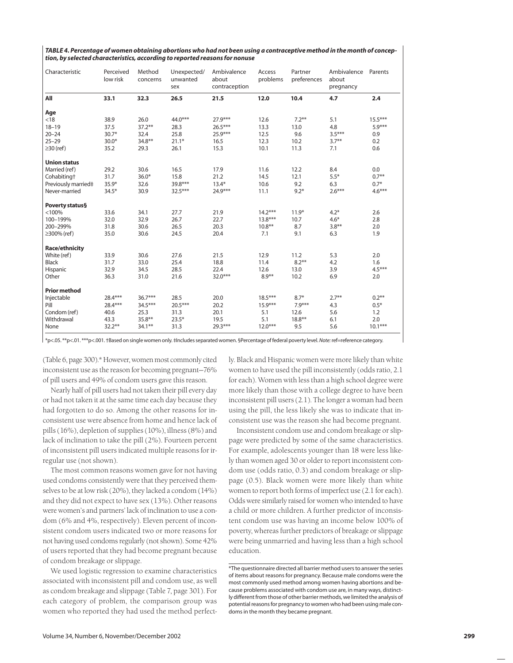| TABLE 4. Percentage of women obtaining abortions who had not been using a contraceptive method in the month of concep- |
|------------------------------------------------------------------------------------------------------------------------|
| tion, by selected characteristics, according to reported reasons for nonuse                                            |

| Characteristic          | Perceived<br>low risk | Method<br>concerns | Unexpected/<br>unwanted<br>sex | Ambivalence<br>about<br>contraception | Access<br>problems | Partner<br>preferences | Ambivalence<br>about<br>pregnancy | Parents   |
|-------------------------|-----------------------|--------------------|--------------------------------|---------------------------------------|--------------------|------------------------|-----------------------------------|-----------|
| All                     | 33.1                  | 32.3               | 26.5                           | 21.5                                  | 12.0               | 10.4                   | 4.7                               | 2.4       |
| Age                     |                       |                    |                                |                                       |                    |                        |                                   |           |
| < 18                    | 38.9                  | 26.0               | 44.0***                        | 27.9***                               | 12.6               | $7.2***$               | 5.1                               | $15.5***$ |
| $18 - 19$               | 37.5                  | $37.2***$          | 28.3                           | $26.5***$                             | 13.3               | 13.0                   | 4.8                               | $5.9***$  |
| $20 - 24$               | $30.7*$               | 32.4               | 25.8                           | $25.9***$                             | 12.5               | 9.6                    | $3.5***$                          | 0.9       |
| $25 - 29$               | $30.0*$               | 34.8**             | $21.1*$                        | 16.5                                  | 12.3               | 10.2                   | $3.7**$                           | 0.2       |
| $\geq$ 30 (ref)         | 35.2                  | 29.3               | 26.1                           | 15.3                                  | 10.1               | 11.3                   | 7.1                               | 0.6       |
| <b>Union status</b>     |                       |                    |                                |                                       |                    |                        |                                   |           |
| Married (ref)           | 29.2                  | 30.6               | 16.5                           | 17.9                                  | 11.6               | 12.2                   | 8.4                               | 0.0       |
| Cohabiting <sup>+</sup> | 31.7                  | $36.0*$            | 15.8                           | 21.2                                  | 14.5               | 12.1                   | $5.5*$                            | $0.7***$  |
| Previously married‡     | 35.9*                 | 32.6               | 39.8***                        | $13.4*$                               | 10.6               | 9.2                    | 6.3                               | $0.7*$    |
| Never-married           | $34.5*$               | 30.9               | $32.5***$                      | 24.9***                               | 11.1               | $9.2*$                 | $2.6***$                          | $4.6***$  |
| Poverty status§         |                       |                    |                                |                                       |                    |                        |                                   |           |
| < 100%                  | 33.6                  | 34.1               | 27.7                           | 21.9                                  | $14.2***$          | $11.9*$                | $4.2*$                            | 2.6       |
| 100-199%                | 32.0                  | 32.9               | 26.7                           | 22.7                                  | $13.8***$          | 10.7                   | $4.6*$                            | 2.8       |
| 200-299%                | 31.8                  | 30.6               | 26.5                           | 20.3                                  | $10.8***$          | 8.7                    | $3.8**$                           | 2.0       |
| ≥300% (ref)             | 35.0                  | 30.6               | 24.5                           | 20.4                                  | 7.1                | 9.1                    | 6.3                               | 1.9       |
| <b>Race/ethnicity</b>   |                       |                    |                                |                                       |                    |                        |                                   |           |
| White (ref)             | 33.9                  | 30.6               | 27.6                           | 21.5                                  | 12.9               | 11.2                   | 5.3                               | 2.0       |
| <b>Black</b>            | 31.7                  | 33.0               | 25.4                           | 18.8                                  | 11.4               | $8.2***$               | 4.2                               | 1.6       |
| Hispanic                | 32.9                  | 34.5               | 28.5                           | 22.4                                  | 12.6               | 13.0                   | 3.9                               | $4.5***$  |
| Other                   | 36.3                  | 31.0               | 21.6                           | $32.0***$                             | $8.9**$            | 10.2                   | 6.9                               | 2.0       |
| <b>Prior method</b>     |                       |                    |                                |                                       |                    |                        |                                   |           |
| Injectable              | 28.4***               | $36.7***$          | 28.5                           | 20.0                                  | $18.5***$          | $8.7*$                 | $2.7***$                          | $0.2***$  |
| Pill                    | 28.4***               | 34.5***            | $20.5***$                      | 20.2                                  | $15.9***$          | $7.9***$               | 4.3                               | $0.5*$    |
| Condom (ref)            | 40.6                  | 25.3               | 31.3                           | 20.1                                  | 5.1                | 12.6                   | 5.6                               | 1.2       |
| Withdrawal              | 43.3                  | 35.8**             | $23.5*$                        | 19.5                                  | 5.1                | $18.8***$              | 6.1                               | 2.0       |
| None                    | $32.2***$             | 34.1**             | 31.3                           | 29.3***                               | $12.0***$          | 9.5                    | 5.6                               | $10.1***$ |
|                         |                       |                    |                                |                                       |                    |                        |                                   |           |

\*p<.05. \*\*p<.01. \*\*\*p<.001. †Based on single women only. ‡Includes separated women. §Percentage of federal poverty level. *Note:*ref=reference category.

(Table 6, page 300).\* However, women most commonly cited inconsistent use as the reason for becoming pregnant—76% of pill users and 49% of condom users gave this reason.

Nearly half of pill users had not taken their pill every day or had not taken it at the same time each day because they had forgotten to do so. Among the other reasons for inconsistent use were absence from home and hence lack of pills (16%), depletion of supplies (10%), illness (8%) and lack of inclination to take the pill (2%). Fourteen percent of inconsistent pill users indicated multiple reasons for irregular use (not shown).

The most common reasons women gave for not having used condoms consistently were that they perceived themselves to be at low risk (20%), they lacked a condom (14%) and they did not expect to have sex (13%). Other reasons were women's and partners' lack of inclination to use a condom (6% and 4%, respectively). Eleven percent of inconsistent condom users indicated two or more reasons for not having used condoms regularly (not shown). Some 42% of users reported that they had become pregnant because of condom breakage or slippage.

We used logistic regression to examine characteristics associated with inconsistent pill and condom use, as well as condom breakage and slippage (Table 7, page 301). For each category of problem, the comparison group was women who reported they had used the method perfectly. Black and Hispanic women were more likely than white women to have used the pill inconsistently (odds ratio, 2.1 for each). Women with less than a high school degree were more likely than those with a college degree to have been inconsistent pill users (2.1). The longer a woman had been using the pill, the less likely she was to indicate that inconsistent use was the reason she had become pregnant.

Inconsistent condom use and condom breakage or slippage were predicted by some of the same characteristics. For example, adolescents younger than 18 were less likely than women aged 30 or older to report inconsistent condom use (odds ratio, 0.3) and condom breakage or slippage (0.5). Black women were more likely than white women to report both forms of imperfect use (2.1 for each). Odds were similarly raised for women who intended to have a child or more children. A further predictor of inconsistent condom use was having an income below 100% of poverty, whereas further predictors of breakage or slippage were being unmarried and having less than a high school education.

<sup>\*</sup>The questionnaire directed all barrier method users to answer the series of items about reasons for pregnancy. Because male condoms were the most commonly used method among women having abortions and because problems associated with condom use are, in many ways, distinctly different from those of other barrier methods, we limited the analysis of potential reasons for pregnancy to women who had been using male condoms in the month they became pregnant.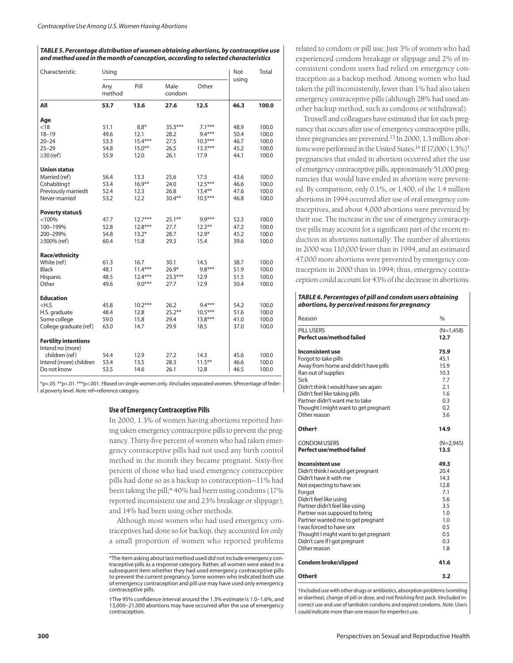#### *TABLE 5. Percentage distribution of women obtaining abortions, by contraceptive use and method used in the month of conception, according to selected characteristics*

| Characteristic                                  | Using         |           |                |           | Not   | Total |
|-------------------------------------------------|---------------|-----------|----------------|-----------|-------|-------|
|                                                 | Any<br>method | Pill      | Male<br>condom | Other     | using |       |
| All                                             | 53.7          | 13.6      | 27.6           | 12.5      | 46.3  | 100.0 |
| Age                                             |               |           |                |           |       |       |
| < 18                                            | 51.1          | $8.8*$    | $35.3***$      | $7.1***$  | 48.9  | 100.0 |
| $18 - 19$                                       | 49.6          | 12.1      | 28.2           | $9.4***$  | 50.4  | 100.0 |
| $20 - 24$                                       | 53.3          | $15.4***$ | 27.5           | $10.3***$ | 46.7  | 100.0 |
| $25 - 29$                                       | 54.8          | $15.0***$ | 26.5           | $13.3***$ | 45.2  | 100.0 |
| $\geq$ 30 (ref)                                 | 55.9          | 12.0      | 26.1           | 17.9      | 44.1  | 100.0 |
| Union status                                    |               |           |                |           |       |       |
| Married (ref)                                   | 56.4          | 13.3      | 25.6           | 17.5      | 43.6  | 100.0 |
| Cohabiting†                                     | 53.4          | $16.9***$ | 24.0           | $12.5***$ | 46.6  | 100.0 |
| Previously married‡                             | 52.4          | 12.3      | 26.8           | $13.4***$ | 47.6  | 100.0 |
| Never-married                                   | 53.2          | 12.2      | $30.4***$      | $10.5***$ | 46.8  | 100.0 |
| Poverty status§                                 |               |           |                |           |       |       |
| $<$ 100%                                        | 47.7          | $12.7***$ | $25.1***$      | $9.9***$  | 52.3  | 100.0 |
| 100-199%                                        | 52.8          | $12.8***$ | 27.7           | $12.3***$ | 47.2  | 100.0 |
| 200-299%                                        | 54.8          | $13.2*$   | 28.7           | $12.9*$   | 45.2  | 100.0 |
| $\geq$ 300% (ref)                               | 60.4          | 15.8      | 29.3           | 15.4      | 39.6  | 100.0 |
| Race/ethnicity                                  |               |           |                |           |       |       |
| White (ref)                                     | 61.3          | 16.7      | 30.1           | 14.5      | 38.7  | 100.0 |
| Black                                           | 48.1          | $11.4***$ | $26.9*$        | $9.8***$  | 51.9  | 100.0 |
| Hispanic                                        | 48.5          | $12.4***$ | $23.3***$      | 12.9      | 51.5  | 100.0 |
| Other                                           | 49.6          | $9.0***$  | 27.7           | 12.9      | 50.4  | 100.0 |
| <b>Education</b>                                |               |           |                |           |       |       |
| $<$ H.S.                                        | 45.8          | $10.2***$ | 26.2           | $9.4***$  | 54.2  | 100.0 |
| H.S. graduate                                   | 48.4          | 12.8      | $25.2***$      | $10.5***$ | 51.6  | 100.0 |
| Some college                                    | 59.0          | 15.8      | 29.4           | $13.8***$ | 41.0  | 100.0 |
| College graduate (ref)                          | 63.0          | 14.7      | 29.9           | 18.5      | 37.0  | 100.0 |
| <b>Fertility intentions</b><br>Intend no (more) |               |           |                |           |       |       |
| children (ref)                                  | 54.4          | 12.9      | 27.2           | 14.3      | 45.6  | 100.0 |
| Intend (more) children                          | 53.4          | 13.5      | 28.3           | $11.5***$ | 46.6  | 100.0 |
| Do not know                                     | 53.5          | 14.6      | 26.1           | 12.8      | 46.5  | 100.0 |

\*p<.05. \*\*p<.01. \*\*\*p<.001. †Based on single women only. ‡Includes separated women. §Percentage of federal poverty level. *Note:* ref=reference category.

#### **Use of Emergency Contraceptive Pills**

In 2000, 1.3% of women having abortions reported having taken emergency contraceptive pills to prevent the pregnancy. Thirty-five percent of women who had taken emergency contraceptive pills had not used any birth control method in the month they became pregnant. Sixty-five percent of those who had used emergency contraceptive pills had done so as a backup to contraception—11% had been taking the pill;\* 40% had been using condoms (17% reported inconsistent use and 23% breakage or slippage); and 14% had been using other methods.

Although most women who had used emergency contraceptives had done so for backup, they accounted for only a small proportion of women who reported problems related to condom or pill use: Just 3% of women who had experienced condom breakage or slippage and 2% of inconsistent condom users had relied on emergency contraception as a backup method. Among women who had taken the pill inconsistently, fewer than 1% had also taken emergency contraceptive pills (although 28% had used another backup method, such as condoms or withdrawal).

Trussell and colleagues have estimated that for each pregnancy that occurs after use of emergency contraceptive pills, three pregnancies are prevented.<sup>13</sup> In 2000, 1.3 million abortions were performed in the United States.<sup>14</sup> If 17,000 (1.3%)<sup>†</sup> pregnancies that ended in abortion occurred after the use of emergency contraceptive pills, approximately 51,000 pregnancies that would have ended in abortion were prevented. By comparison, only 0.1%, or 1,400, of the 1.4 million abortions in 1994 occurred after use of oral emergency contraceptives, and about 4,000 abortions were prevented by their use. The increase in the use of emergency contraceptive pills may account for a significant part of the recent reduction in abortions nationally: The number of abortions in 2000 was 110,000 fewer than in 1994, and an estimated 47,000 more abortions were prevented by emergency contraception in 2000 than in 1994; thus, emergency contraception could account for 43% of the decrease in abortions.

*TABLE 6. Percentages of pill and condom users obtaining abortions, by perceived reasons for pregnancy*

| Reason                                                                | $\frac{0}{0}$       |
|-----------------------------------------------------------------------|---------------------|
| PILL USERS<br>Perfect use/method failed                               | $(N=1,458)$<br>12.7 |
| Inconsistent use                                                      | 75.9                |
| Forgot to take pills                                                  | 45.1                |
| Away from home and didn't have pills                                  | 15.9                |
| Ran out of supplies                                                   | 10.3                |
| Sick                                                                  | 7.7                 |
| Didn't think I would have sex again                                   | 2.1                 |
| Didn't feel like taking pills                                         | 1.6                 |
| Partner didn't want me to take                                        | 0.3                 |
| Thought I might want to get pregnant                                  | 0.2                 |
| Other reason                                                          | 3.6                 |
| Othert                                                                | 14.9                |
| <b>CONDOM USERS</b>                                                   | $(N=2,945)$         |
| Perfect use/method failed                                             | 13.5                |
| Inconsistent use                                                      | 49.3                |
| Didn't think I would get pregnant                                     | 20.4                |
| Didn't have it with me                                                | 14.3                |
| Not expecting to have sex                                             | 12.8                |
| Forgot                                                                | 7.1                 |
| Didn't feel like using                                                | 5.6                 |
| Partner didn't feel like using                                        | 3.5                 |
| Partner was supposed to bring                                         | 1.0                 |
| Partner wanted me to get pregnant                                     | 1.0                 |
| I was forced to have sex                                              | 0.5                 |
| Thought I might want to get pregnant<br>Didn't care if I got pregnant | 0.5<br>0.3          |
| Other reason                                                          | 1.8                 |
|                                                                       |                     |
| <b>Condom broke/slipped</b>                                           | 41.6                |
| Other‡                                                                | 3.2                 |

†Included use with other drugs or antibiotics, absorption problems (vomiting or diarrhea), change of pill or dose, and not finishing first pack. ‡Included incorrect use and use of lambskin condoms and expired condoms. *Note:* Users could indicate more than one reason for imperfect use.

<sup>\*</sup>The item asking about last method used did not include emergency contraceptive pills as a response category. Rather, all women were asked in a subsequent item whether they had used emergency contraceptive pills to prevent the current pregnancy. Some women who indicated both use of emergency contraception and pill use may have used only emergency contraceptive pills.

<sup>†</sup>The 95% confidence interval around the 1.3% estimate is 1.0–1.6%, and 13,000–21,000 abortions may have occurred after the use of emergency contraception.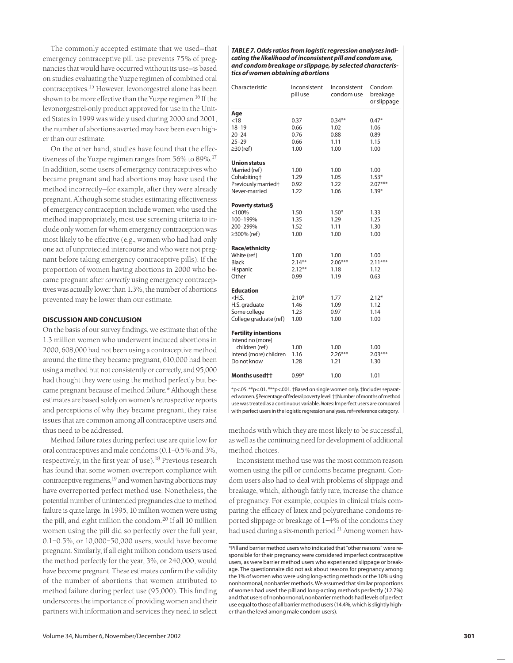The commonly accepted estimate that we used—that emergency contraceptive pill use prevents 75% of pregnancies that would have occurred without its use—is based on studies evaluating the Yuzpe regimen of combined oral contraceptives.<sup>15</sup> However, levonorgestrel alone has been shown to be more effective than the Yuzpe regimen.<sup>16</sup> If the levonorgestrel-only product approved for use in the United States in 1999 was widely used during 2000 and 2001, the number of abortions averted may have been even higher than our estimate.

On the other hand, studies have found that the effectiveness of the Yuzpe regimen ranges from 56% to 89%.<sup>17</sup> In addition, some users of emergency contraceptives who became pregnant and had abortions may have used the method incorrectly—for example, after they were already pregnant. Although some studies estimating effectiveness of emergency contraception include women who used the method inappropriately, most use screening criteria to include only women for whom emergency contraception was most likely to be effective (e.g., women who had had only one act of unprotected intercourse and who were not pregnant before taking emergency contraceptive pills). If the proportion of women having abortions in 2000 who became pregnant after *correctly* using emergency contraceptives was actually lower than 1.3%, the number of abortions prevented may be lower than our estimate.

## **DISCUSSION AND CONCLUSION**

On the basis of our survey findings, we estimate that of the 1.3 million women who underwent induced abortions in 2000, 608,000 had not been using a contraceptive method around the time they became pregnant, 610,000 had been using a method but not consistently or correctly, and 95,000 had thought they were using the method perfectly but became pregnant because of method failure.\* Although these estimates are based solely on women's retrospective reports and perceptions of why they became pregnant, they raise issues that are common among all contraceptive users and thus need to be addressed.

Method failure rates during perfect use are quite low for oral contraceptives and male condoms (0.1–0.5% and 3%, respectively, in the first year of use).<sup>18</sup> Previous research has found that some women overreport compliance with contraceptive regimens, $19$  and women having abortions may have overreported perfect method use. Nonetheless, the potential number of unintended pregnancies due to method failure is quite large. In 1995, 10 million women were using the pill, and eight million the condom.<sup>20</sup> If all 10 million women using the pill did so perfectly over the full year, 0.1–0.5%, or 10,000–50,000 users, would have become pregnant. Similarly, if all eight million condom users used the method perfectly for the year, 3%, or 240,000, would have become pregnant. These estimates confirm the validity of the number of abortions that women attributed to method failure during perfect use (95,000). This finding underscores the importance of providing women and their partners with information and services they need to select

*TABLE 7. Odds ratios from logistic regression analyses indicating the likelihood of inconsistent pill and condom use, and condom breakage or slippage, by selected characteristics of women obtaining abortions* 

| Characteristic                                                                                             |                                                                                                                | Inconsistent<br>pill use               | Inconsistent<br>condom use           | Condom<br>breakage<br>or slippage               |  |
|------------------------------------------------------------------------------------------------------------|----------------------------------------------------------------------------------------------------------------|----------------------------------------|--------------------------------------|-------------------------------------------------|--|
|                                                                                                            | Age<br>< 18<br>$18 - 19$<br>$20 - 24$<br>$25 - 29$                                                             | 0.37<br>0.66<br>0.76<br>0.66           | $0.34***$<br>1.02<br>0.88<br>1.11    | $0.47*$<br>1.06<br>0.89<br>1.15                 |  |
|                                                                                                            | $\geq$ 30 (ref)<br><b>Union status</b><br>Married (ref)<br>Cohabiting†<br>Previously married‡<br>Never-married | 1.00<br>1.00<br>1.29<br>0.92<br>1.22   | 1.00<br>1.00<br>1.05<br>1.22<br>1.06 | 1.00<br>1.00<br>$1.53*$<br>$2.07***$<br>$1.39*$ |  |
|                                                                                                            | Poverty status§<br>< 100%<br>100-199%<br>200-299%<br>$\geq$ 300% (ref)                                         | 1.50<br>1.35<br>1.52<br>1.00           | $1.50*$<br>1.29<br>1.11<br>1.00      | 1.33<br>1.25<br>1.30<br>1.00                    |  |
|                                                                                                            | <b>Race/ethnicity</b><br>White (ref)<br><b>Black</b><br>Hispanic<br>Other                                      | 1.00<br>$2.14***$<br>$2.12***$<br>0.99 | 1.00<br>$2.06***$<br>1.18<br>1.19    | 1.00<br>$2.11***$<br>1.12<br>0.63               |  |
|                                                                                                            | <b>Education</b><br>$<$ H.S.<br>H.S. graduate<br>Some college<br>College graduate (ref)                        | $2.10*$<br>1.46<br>1.23<br>1.00        | 1.77<br>1.09<br>0.97<br>1.00         | $2.12*$<br>1.12<br>1.14<br>1.00                 |  |
| <b>Fertility intentions</b><br>Intend no (more)<br>children (ref)<br>Intend (more) children<br>Do not know |                                                                                                                | 1.00<br>1.16<br>1.28                   | 1.00<br>$2.26***$<br>1.21            | 1.00<br>$2.03***$<br>1.30                       |  |
|                                                                                                            | Months used <sup>++</sup>                                                                                      | $0.99*$                                | 1.00                                 | 1.01                                            |  |

\*p<.05. \*\*p<.01. \*\*\*p<.001. †Based on single women only. ‡Includes separated women. §Percentage of federal poverty level. ††Number of months of method use was treated as a continuous variable. *Notes:* Imperfect users are compared with perfect users in the logistic regression analyses. ref=reference category.

methods with which they are most likely to be successful, as well as the continuing need for development of additional method choices.

Inconsistent method use was the most common reason women using the pill or condoms became pregnant. Condom users also had to deal with problems of slippage and breakage, which, although fairly rare, increase the chance of pregnancy. For example, couples in clinical trials comparing the efficacy of latex and polyurethane condoms reported slippage or breakage of 1–4% of the condoms they had used during a six-month period.<sup>21</sup> Among women hav-

<sup>\*</sup>Pill and barrier method users who indicated that "other reasons" were responsible for their pregnancy were considered imperfect contraceptive users, as were barrier method users who experienced slippage or breakage. The questionnaire did not ask about reasons for pregnancy among the 1% of women who were using long-acting methods or the 10% using nonhormonal, nonbarrier methods. We assumed that similar proportions of women had used the pill and long-acting methods perfectly (12.7%) and that users of nonhormonal, nonbarrier methods had levels of perfect use equal to those of all barrier method users (14.4%, which is slightly higher than the level among male condom users).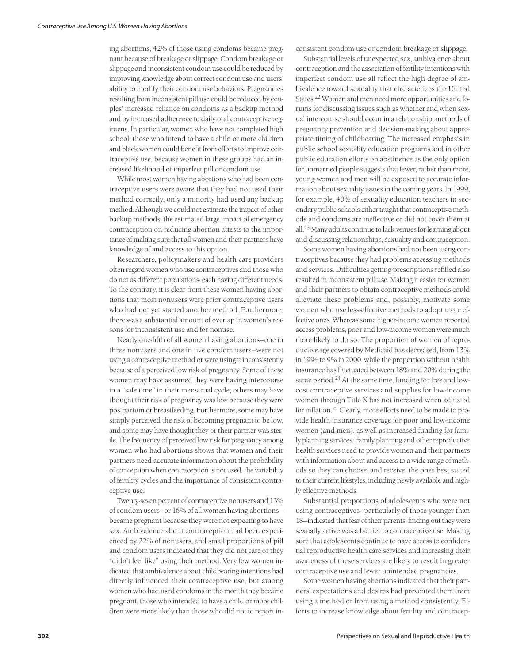ing abortions, 42% of those using condoms became pregnant because of breakage or slippage. Condom breakage or slippage and inconsistent condom use could be reduced by improving knowledge about correct condom use and users' ability to modify their condom use behaviors. Pregnancies resulting from inconsistent pill use could be reduced by couples' increased reliance on condoms as a backup method and by increased adherence to daily oral contraceptive regimens. In particular, women who have not completed high school, those who intend to have a child or more children and black women could benefit from efforts to improve contraceptive use, because women in these groups had an increased likelihood of imperfect pill or condom use.

While most women having abortions who had been contraceptive users were aware that they had not used their method correctly, only a minority had used any backup method. Although we could not estimate the impact of other backup methods, the estimated large impact of emergency contraception on reducing abortion attests to the importance of making sure that all women and their partners have knowledge of and access to this option.

Researchers, policymakers and health care providers often regard women who use contraceptives and those who do not as different populations, each having different needs. To the contrary, it is clear from these women having abortions that most nonusers were prior contraceptive users who had not yet started another method. Furthermore, there was a substantial amount of overlap in women's reasons for inconsistent use and for nonuse.

Nearly one-fifth of all women having abortions—one in three nonusers and one in five condom users—were not using a contraceptive method or were using it inconsistently because of a perceived low risk of pregnancy. Some of these women may have assumed they were having intercourse in a "safe time" in their menstrual cycle; others may have thought their risk of pregnancy was low because they were postpartum or breastfeeding. Furthermore, some may have simply perceived the risk of becoming pregnant to be low, and some may have thought they or their partner was sterile. The frequency of perceived low risk for pregnancy among women who had abortions shows that women and their partners need accurate information about the probability of conception when contraception is not used, the variability of fertility cycles and the importance of consistent contraceptive use.

Twenty-seven percent of contraceptive nonusers and 13% of condom users—or 16% of all women having abortions became pregnant because they were not expecting to have sex. Ambivalence about contraception had been experienced by 22% of nonusers, and small proportions of pill and condom users indicated that they did not care or they "didn't feel like" using their method. Very few women indicated that ambivalence about childbearing intentions had directly influenced their contraceptive use, but among women who had used condoms in the month they became pregnant, those who intended to have a child or more children were more likely than those who did not to report inconsistent condom use or condom breakage or slippage.

Substantial levels of unexpected sex, ambivalence about contraception and the association of fertility intentions with imperfect condom use all reflect the high degree of ambivalence toward sexuality that characterizes the United States.22 Women and men need more opportunities and forums for discussing issues such as whether and when sexual intercourse should occur in a relationship, methods of pregnancy prevention and decision-making about appropriate timing of childbearing. The increased emphasis in public school sexuality education programs and in other public education efforts on abstinence as the only option for unmarried people suggests that fewer, rather than more, young women and men will be exposed to accurate information about sexuality issues in the coming years. In 1999, for example, 40% of sexuality education teachers in secondary public schools either taught that contraceptive methods and condoms are ineffective or did not cover them at all.23 Many adults continue to lack venues for learning about and discussing relationships, sexuality and contraception.

Some women having abortions had not been using contraceptives because they had problems accessing methods and services. Difficulties getting prescriptions refilled also resulted in inconsistent pill use. Making it easier for women and their partners to obtain contraceptive methods could alleviate these problems and, possibly, motivate some women who use less-effective methods to adopt more effective ones. Whereas some higher-income women reported access problems, poor and low-income women were much more likely to do so. The proportion of women of reproductive age covered by Medicaid has decreased, from 13% in 1994 to 9% in 2000, while the proportion without health insurance has fluctuated between 18% and 20% during the same period.<sup>24</sup> At the same time, funding for free and lowcost contraceptive services and supplies for low-income women through Title X has not increased when adjusted for inflation.25 Clearly, more efforts need to be made to provide health insurance coverage for poor and low-income women (and men), as well as increased funding for family planning services. Family planning and other reproductive health services need to provide women and their partners with information about and access to a wide range of methods so they can choose, and receive, the ones best suited to their current lifestyles, including newly available and highly effective methods.

Substantial proportions of adolescents who were not using contraceptives—particularly of those younger than 18—indicated that fear of their parents' finding out they were sexually active was a barrier to contraceptive use. Making sure that adolescents continue to have access to confidential reproductive health care services and increasing their awareness of these services are likely to result in greater contraceptive use and fewer unintended pregnancies.

Some women having abortions indicated that their partners' expectations and desires had prevented them from using a method or from using a method consistently. Efforts to increase knowledge about fertility and contracep